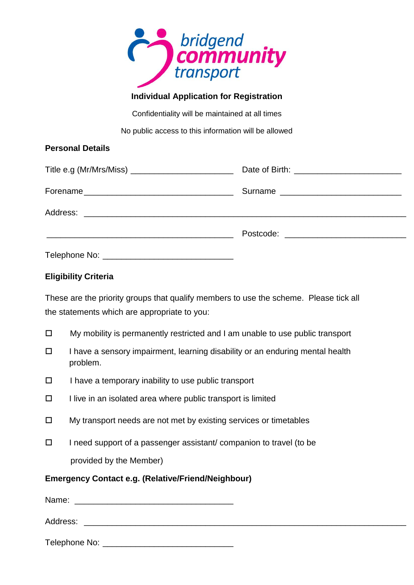

# **Individual Application for Registration**

Confidentiality will be maintained at all times

No public access to this information will be allowed

## **Personal Details**

| Title e.g (Mr/Mrs/Miss) __________________________ |  |
|----------------------------------------------------|--|
|                                                    |  |
|                                                    |  |
|                                                    |  |
|                                                    |  |

## **Eligibility Criteria**

These are the priority groups that qualify members to use the scheme. Please tick all the statements which are appropriate to you:

- $\Box$  My mobility is permanently restricted and I am unable to use public transport
- $\Box$  I have a sensory impairment, learning disability or an enduring mental health problem.
- $\Box$  I have a temporary inability to use public transport
- $\Box$  I live in an isolated area where public transport is limited
- $\Box$  My transport needs are not met by existing services or timetables
- $\Box$  I need support of a passenger assistant/ companion to travel (to be provided by the Member)

## **Emergency Contact e.g. (Relative/Friend/Neighbour)**

| Name:         |  |
|---------------|--|
| Address:      |  |
| Telephone No: |  |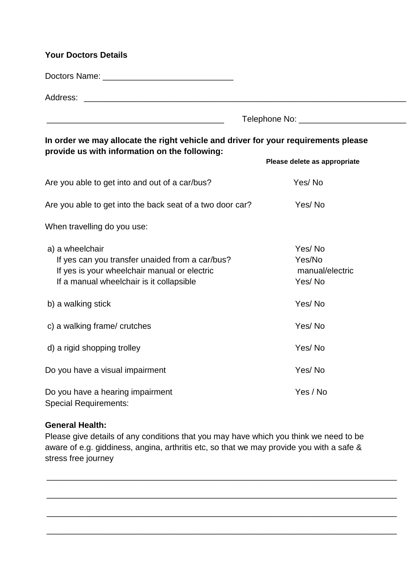### **Your Doctors Details**

Doctors Name: \_\_\_\_\_\_\_\_\_\_\_\_\_\_\_\_\_\_\_\_\_\_\_\_\_\_\_\_

Address: \_\_\_\_\_\_\_\_\_\_\_\_\_\_\_\_\_\_\_\_\_\_\_\_\_\_\_\_\_\_\_\_\_\_\_\_\_\_\_\_\_\_\_\_\_\_\_\_\_\_\_\_\_\_\_\_\_\_\_\_\_\_\_\_\_\_\_\_\_

\_\_\_\_\_\_\_\_\_\_\_\_\_\_\_\_\_\_\_\_\_\_\_\_\_\_\_\_\_\_\_\_\_\_\_\_\_\_ Telephone No: \_\_\_\_\_\_\_\_\_\_\_\_\_\_\_\_\_\_\_\_\_\_\_

**In order we may allocate the right vehicle and driver for your requirements please provide us with information on the following:** 

|                                                                                                                                                                | Please delete as appropriate                  |
|----------------------------------------------------------------------------------------------------------------------------------------------------------------|-----------------------------------------------|
| Are you able to get into and out of a car/bus?                                                                                                                 | Yes/No                                        |
| Are you able to get into the back seat of a two door car?                                                                                                      | Yes/No                                        |
| When travelling do you use:                                                                                                                                    |                                               |
| a) a wheelchair<br>If yes can you transfer unaided from a car/bus?<br>If yes is your wheelchair manual or electric<br>If a manual wheelchair is it collapsible | Yes/No<br>Yes/No<br>manual/electric<br>Yes/No |
| b) a walking stick                                                                                                                                             | Yes/No                                        |
| c) a walking frame/ crutches                                                                                                                                   | Yes/No                                        |
| d) a rigid shopping trolley                                                                                                                                    | Yes/No                                        |
| Do you have a visual impairment                                                                                                                                | Yes/No                                        |
| Do you have a hearing impairment<br><b>Special Requirements:</b>                                                                                               | Yes / No                                      |

#### **General Health:**

Please give details of any conditions that you may have which you think we need to be aware of e.g. giddiness, angina, arthritis etc, so that we may provide you with a safe & stress free journey

\_\_\_\_\_\_\_\_\_\_\_\_\_\_\_\_\_\_\_\_\_\_\_\_\_\_\_\_\_\_\_\_\_\_\_\_\_\_\_\_\_\_\_\_\_\_\_\_\_\_\_\_\_\_\_\_\_\_\_\_\_\_\_\_\_\_\_\_\_\_\_\_\_\_\_

\_\_\_\_\_\_\_\_\_\_\_\_\_\_\_\_\_\_\_\_\_\_\_\_\_\_\_\_\_\_\_\_\_\_\_\_\_\_\_\_\_\_\_\_\_\_\_\_\_\_\_\_\_\_\_\_\_\_\_\_\_\_\_\_\_\_\_\_\_\_\_\_\_\_\_

\_\_\_\_\_\_\_\_\_\_\_\_\_\_\_\_\_\_\_\_\_\_\_\_\_\_\_\_\_\_\_\_\_\_\_\_\_\_\_\_\_\_\_\_\_\_\_\_\_\_\_\_\_\_\_\_\_\_\_\_\_\_\_\_\_\_\_\_\_\_\_\_\_\_\_

\_\_\_\_\_\_\_\_\_\_\_\_\_\_\_\_\_\_\_\_\_\_\_\_\_\_\_\_\_\_\_\_\_\_\_\_\_\_\_\_\_\_\_\_\_\_\_\_\_\_\_\_\_\_\_\_\_\_\_\_\_\_\_\_\_\_\_\_\_\_\_\_\_\_\_